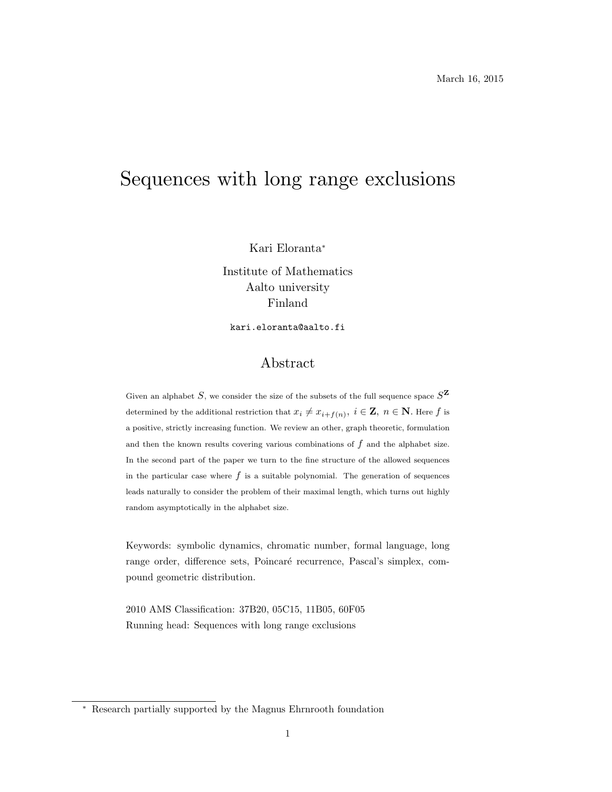# Sequences with long range exclusions

Kari Eloranta<sup>∗</sup>

Institute of Mathematics Aalto university Finland

kari.eloranta@aalto.fi

# Abstract

Given an alphabet S, we consider the size of the subsets of the full sequence space  $S^{\mathbf{Z}}$ determined by the additional restriction that  $x_i \neq x_{i+f(n)}, i \in \mathbf{Z}, n \in \mathbf{N}$ . Here  $f$  is a positive, strictly increasing function. We review an other, graph theoretic, formulation and then the known results covering various combinations of  $f$  and the alphabet size. In the second part of the paper we turn to the fine structure of the allowed sequences in the particular case where  $f$  is a suitable polynomial. The generation of sequences leads naturally to consider the problem of their maximal length, which turns out highly random asymptotically in the alphabet size.

Keywords: symbolic dynamics, chromatic number, formal language, long range order, difference sets, Poincaré recurrence, Pascal's simplex, compound geometric distribution.

2010 AMS Classification: 37B20, 05C15, 11B05, 60F05 Running head: Sequences with long range exclusions

<sup>∗</sup> Research partially supported by the Magnus Ehrnrooth foundation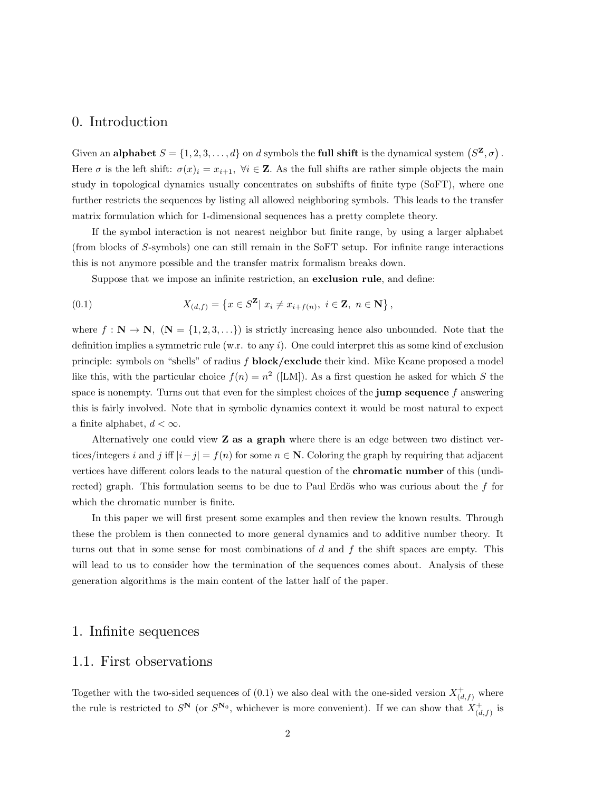# 0. Introduction

Given an alphabet  $S = \{1, 2, 3, ..., d\}$  on d symbols the full shift is the dynamical system  $(S^{\mathbf{Z}}, \sigma)$ . Here  $\sigma$  is the left shift:  $\sigma(x)_i = x_{i+1}$ ,  $\forall i \in \mathbb{Z}$ . As the full shifts are rather simple objects the main study in topological dynamics usually concentrates on subshifts of finite type (SoFT), where one further restricts the sequences by listing all allowed neighboring symbols. This leads to the transfer matrix formulation which for 1-dimensional sequences has a pretty complete theory.

If the symbol interaction is not nearest neighbor but finite range, by using a larger alphabet (from blocks of S-symbols) one can still remain in the SoFT setup. For infinite range interactions this is not anymore possible and the transfer matrix formalism breaks down.

Suppose that we impose an infinite restriction, an exclusion rule, and define:

(0.1) 
$$
X_{(d,f)} = \{x \in S^{\mathbf{Z}} | x_i \neq x_{i+f(n)}, i \in \mathbf{Z}, n \in \mathbf{N}\},
$$

where  $f : \mathbf{N} \to \mathbf{N}$ ,  $(\mathbf{N} = \{1, 2, 3, \ldots\})$  is strictly increasing hence also unbounded. Note that the definition implies a symmetric rule (w.r. to any  $i$ ). One could interpret this as some kind of exclusion principle: symbols on "shells" of radius f block/exclude their kind. Mike Keane proposed a model like this, with the particular choice  $f(n) = n^2$  ([LM]). As a first question he asked for which S the space is nonempty. Turns out that even for the simplest choices of the **jump sequence** f answering this is fairly involved. Note that in symbolic dynamics context it would be most natural to expect a finite alphabet,  $d < \infty$ .

Alternatively one could view  $Z$  as a graph where there is an edge between two distinct vertices/integers i and j iff  $|i-j| = f(n)$  for some  $n \in \mathbb{N}$ . Coloring the graph by requiring that adjacent vertices have different colors leads to the natural question of the chromatic number of this (undirected) graph. This formulation seems to be due to Paul Erdös who was curious about the  $f$  for which the chromatic number is finite.

In this paper we will first present some examples and then review the known results. Through these the problem is then connected to more general dynamics and to additive number theory. It turns out that in some sense for most combinations of  $d$  and  $f$  the shift spaces are empty. This will lead to us to consider how the termination of the sequences comes about. Analysis of these generation algorithms is the main content of the latter half of the paper.

## 1. Infinite sequences

# 1.1. First observations

Together with the two-sided sequences of  $(0.1)$  we also deal with the one-sided version  $X^+_{(d,f)}$  where the rule is restricted to  $S^{\mathbf{N}}$  (or  $S^{\mathbf{N}_0}$ , whichever is more convenient). If we can show that  $X^+_{(d,f)}$  is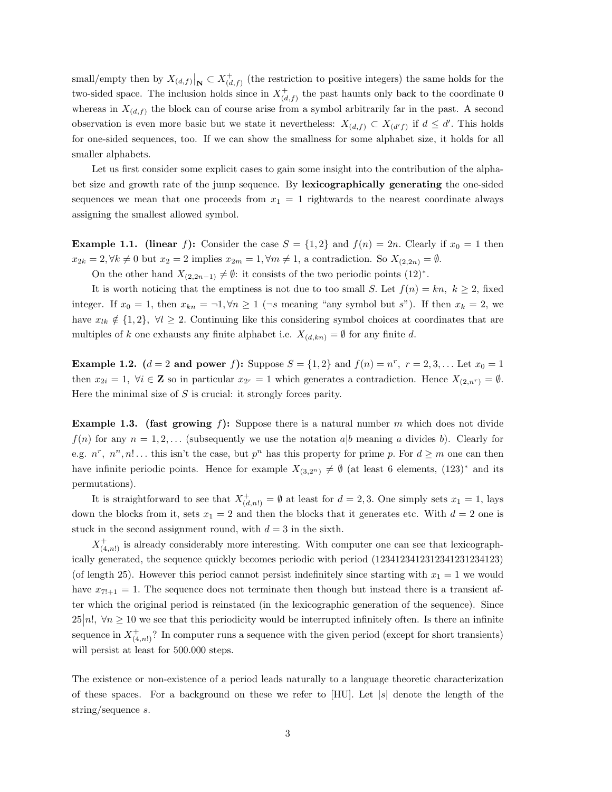small/empty then by  $X_{(d,f)}|_{\mathbf{N}} \subset X^+_{(d,f)}$  (the restriction to positive integers) the same holds for the two-sided space. The inclusion holds since in  $X^+_{(d,f)}$  the past haunts only back to the coordinate 0 whereas in  $X_{(d,f)}$  the block can of course arise from a symbol arbitrarily far in the past. A second observation is even more basic but we state it nevertheless:  $X_{(d,f)} \subset X_{(d'f)}$  if  $d \leq d'$ . This holds for one-sided sequences, too. If we can show the smallness for some alphabet size, it holds for all smaller alphabets.

Let us first consider some explicit cases to gain some insight into the contribution of the alphabet size and growth rate of the jump sequence. By lexicographically generating the one-sided sequences we mean that one proceeds from  $x_1 = 1$  rightwards to the nearest coordinate always assigning the smallest allowed symbol.

**Example 1.1.** (linear f): Consider the case  $S = \{1, 2\}$  and  $f(n) = 2n$ . Clearly if  $x_0 = 1$  then  $x_{2k} = 2, \forall k \neq 0$  but  $x_2 = 2$  implies  $x_{2m} = 1, \forall m \neq 1$ , a contradiction. So  $X_{(2,2n)} = \emptyset$ .

On the other hand  $X_{(2,2n-1)} \neq \emptyset$ : it consists of the two periodic points  $(12)^*$ .

It is worth noticing that the emptiness is not due to too small S. Let  $f(n) = kn$ ,  $k \geq 2$ , fixed integer. If  $x_0 = 1$ , then  $x_{kn} = -1, \forall n \geq 1$  ( $\neg s$  meaning "any symbol but s"). If then  $x_k = 2$ , we have  $x_{lk} \notin \{1,2\}, \forall l \geq 2$ . Continuing like this considering symbol choices at coordinates that are multiples of k one exhausts any finite alphabet i.e.  $X_{(d, kn)} = \emptyset$  for any finite d.

**Example 1.2.**  $(d = 2 \text{ and power } f)$ : Suppose  $S = \{1, 2\}$  and  $f(n) = n^r$ ,  $r = 2, 3, ...$  Let  $x_0 = 1$ then  $x_{2i} = 1$ ,  $\forall i \in \mathbb{Z}$  so in particular  $x_{2r} = 1$  which generates a contradiction. Hence  $X_{(2,n^r)} = \emptyset$ . Here the minimal size of  $S$  is crucial: it strongly forces parity.

**Example 1.3.** (fast growing f): Suppose there is a natural number m which does not divide  $f(n)$  for any  $n = 1, 2, \ldots$  (subsequently we use the notation a|b meaning a divides b). Clearly for e.g.  $n^r$ ,  $n^n$ ,  $n!$ ... this isn't the case, but  $p^n$  has this property for prime p. For  $d \geq m$  one can then have infinite periodic points. Hence for example  $X_{(3,2^n)} \neq \emptyset$  (at least 6 elements,  $(123)^*$  and its permutations).

It is straightforward to see that  $X^+_{(d,n!)} = \emptyset$  at least for  $d = 2,3$ . One simply sets  $x_1 = 1$ , lays down the blocks from it, sets  $x_1 = 2$  and then the blocks that it generates etc. With  $d = 2$  one is stuck in the second assignment round, with  $d = 3$  in the sixth.

 $X^+_{(4,n!)}$  is already considerably more interesting. With computer one can see that lexicographically generated, the sequence quickly becomes periodic with period (1234123412312341231234123) (of length 25). However this period cannot persist indefinitely since starting with  $x_1 = 1$  we would have  $x_{7!+1} = 1$ . The sequence does not terminate then though but instead there is a transient after which the original period is reinstated (in the lexicographic generation of the sequence). Since  $25|n!$ ,  $\forall n \geq 10$  we see that this periodicity would be interrupted infinitely often. Is there an infinite sequence in  $X^+_{(4,n!)}$ ? In computer runs a sequence with the given period (except for short transients) will persist at least for 500.000 steps.

The existence or non-existence of a period leads naturally to a language theoretic characterization of these spaces. For a background on these we refer to  $[HU]$ . Let  $|s|$  denote the length of the string/sequence s.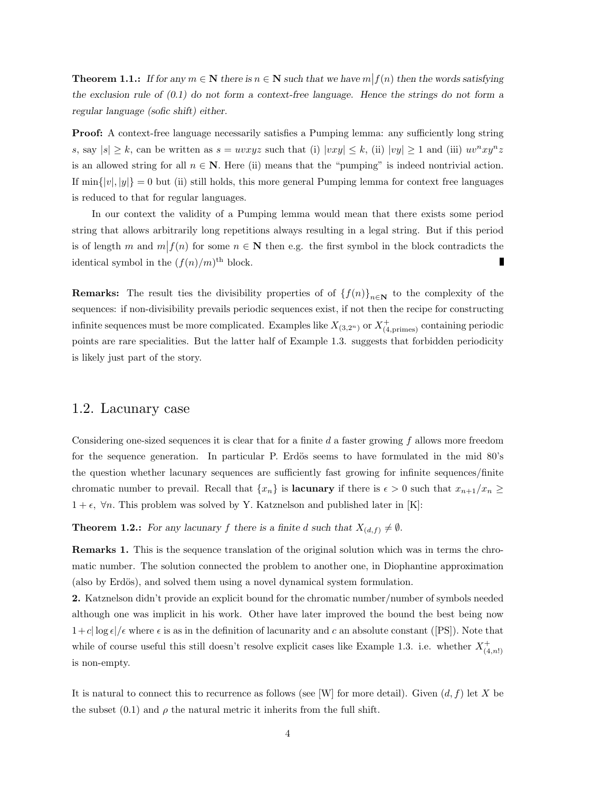**Theorem 1.1.:** If for any  $m \in \mathbb{N}$  there is  $n \in \mathbb{N}$  such that we have  $m \mid f(n)$  then the words satisfying the exclusion rule of  $(0.1)$  do not form a context-free language. Hence the strings do not form a regular language (sofic shift) either.

Proof: A context-free language necessarily satisfies a Pumping lemma: any sufficiently long string s, say  $|s| \geq k$ , can be written as  $s = uvxyz$  such that (i)  $|vxy| \leq k$ , (ii)  $|vy| \geq 1$  and (iii)  $uv^nxy^nz$ is an allowed string for all  $n \in \mathbb{N}$ . Here (ii) means that the "pumping" is indeed nontrivial action. If  $\min\{|v|, |y|\} = 0$  but (ii) still holds, this more general Pumping lemma for context free languages is reduced to that for regular languages.

In our context the validity of a Pumping lemma would mean that there exists some period string that allows arbitrarily long repetitions always resulting in a legal string. But if this period is of length m and  $m|f(n)$  for some  $n \in \mathbb{N}$  then e.g. the first symbol in the block contradicts the identical symbol in the  $(f(n)/m)$ <sup>th</sup> block.

**Remarks:** The result ties the divisibility properties of of  $\{f(n)\}_{n\in\mathbb{N}}$  to the complexity of the sequences: if non-divisibility prevails periodic sequences exist, if not then the recipe for constructing infinite sequences must be more complicated. Examples like  $X_{(3,2^n)}$  or  $X^+_{(4,\text{primes})}$  containing periodic points are rare specialities. But the latter half of Example 1.3. suggests that forbidden periodicity is likely just part of the story.

#### 1.2. Lacunary case

Considering one-sized sequences it is clear that for a finite d a faster growing f allows more freedom for the sequence generation. In particular P. Erdös seems to have formulated in the mid  $80\text{'s}$ the question whether lacunary sequences are sufficiently fast growing for infinite sequences/finite chromatic number to prevail. Recall that  $\{x_n\}$  is **lacunary** if there is  $\epsilon > 0$  such that  $x_{n+1}/x_n \ge$  $1 + \epsilon$ ,  $\forall n$ . This problem was solved by Y. Katznelson and published later in [K]:

**Theorem 1.2.:** For any lacunary f there is a finite d such that  $X_{(d,f)} \neq \emptyset$ .

Remarks 1. This is the sequence translation of the original solution which was in terms the chromatic number. The solution connected the problem to another one, in Diophantine approximation (also by Erdös), and solved them using a novel dynamical system formulation.

2. Katznelson didn't provide an explicit bound for the chromatic number/number of symbols needed although one was implicit in his work. Other have later improved the bound the best being now  $1+c|\log \epsilon|/\epsilon$  where  $\epsilon$  is as in the definition of lacunarity and c an absolute constant ([PS]). Note that while of course useful this still doesn't resolve explicit cases like Example 1.3. i.e. whether  $X^+_{(4,n!)}$ is non-empty.

It is natural to connect this to recurrence as follows (see [W] for more detail). Given  $(d, f)$  let X be the subset (0.1) and  $\rho$  the natural metric it inherits from the full shift.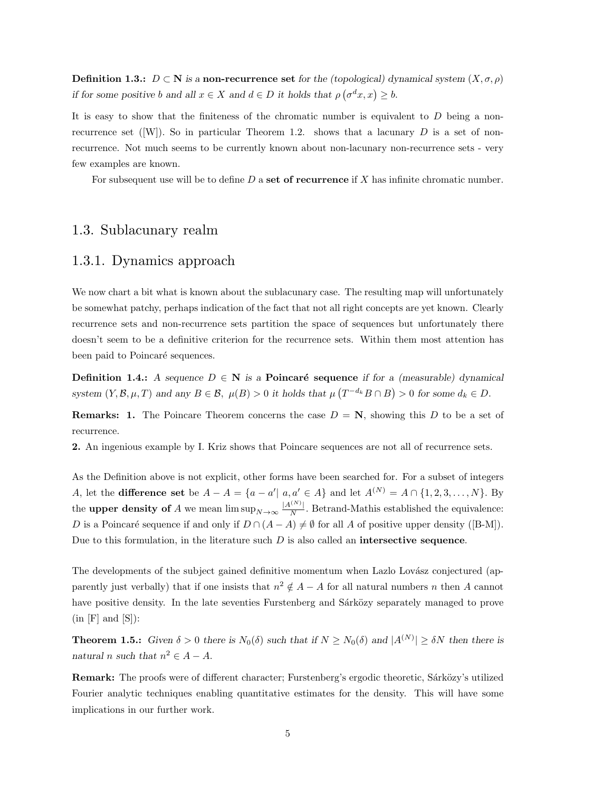**Definition 1.3.:**  $D \subset \mathbb{N}$  is a non-recurrence set for the (topological) dynamical system  $(X, \sigma, \rho)$ if for some positive b and all  $x \in X$  and  $d \in D$  it holds that  $\rho(\sigma^d x, x) \geq b$ .

It is easy to show that the finiteness of the chromatic number is equivalent to  $D$  being a nonrecurrence set ( $[W]$ ). So in particular Theorem 1.2. shows that a lacunary D is a set of nonrecurrence. Not much seems to be currently known about non-lacunary non-recurrence sets - very few examples are known.

For subsequent use will be to define  $D$  a set of recurrence if  $X$  has infinite chromatic number.

# 1.3. Sublacunary realm

#### 1.3.1. Dynamics approach

We now chart a bit what is known about the sublacunary case. The resulting map will unfortunately be somewhat patchy, perhaps indication of the fact that not all right concepts are yet known. Clearly recurrence sets and non-recurrence sets partition the space of sequences but unfortunately there doesn't seem to be a definitive criterion for the recurrence sets. Within them most attention has been paid to Poincaré sequences.

**Definition 1.4.:** A sequence  $D \in \mathbb{N}$  is a **Poincaré sequence** if for a (measurable) dynamical system  $(Y, \mathcal{B}, \mu, T)$  and any  $B \in \mathcal{B}$ ,  $\mu(B) > 0$  it holds that  $\mu(T^{-d_k}B \cap B) > 0$  for some  $d_k \in D$ .

**Remarks: 1.** The Poincare Theorem concerns the case  $D = N$ , showing this D to be a set of recurrence.

2. An ingenious example by I. Kriz shows that Poincare sequences are not all of recurrence sets.

As the Definition above is not explicit, other forms have been searched for. For a subset of integers A, let the **difference set** be  $A - A = \{a - a' \mid a, a' \in A\}$  and let  $A^{(N)} = A \cap \{1, 2, 3, ..., N\}$ . By the upper density of A we mean  $\limsup_{N\to\infty} \frac{|A^{(N)}|}{N}$  $\frac{N}{N}$ . Betrand-Mathis established the equivalence: D is a Poincaré sequence if and only if  $D \cap (A - A) \neq \emptyset$  for all A of positive upper density ([B-M]). Due to this formulation, in the literature such  $D$  is also called an **intersective sequence**.

The developments of the subject gained definitive momentum when Lazlo Lovász conjectured (apparently just verbally) that if one insists that  $n^2 \notin A - A$  for all natural numbers n then A cannot have positive density. In the late seventies Furstenberg and Sárközy separately managed to prove  $(in [F] and [S]):$ 

**Theorem 1.5.:** Given  $\delta > 0$  there is  $N_0(\delta)$  such that if  $N \ge N_0(\delta)$  and  $|A^{(N)}| \ge \delta N$  then there is natural n such that  $n^2 \in A - A$ .

Remark: The proofs were of different character; Furstenberg's ergodic theoretic, Sárközy's utilized Fourier analytic techniques enabling quantitative estimates for the density. This will have some implications in our further work.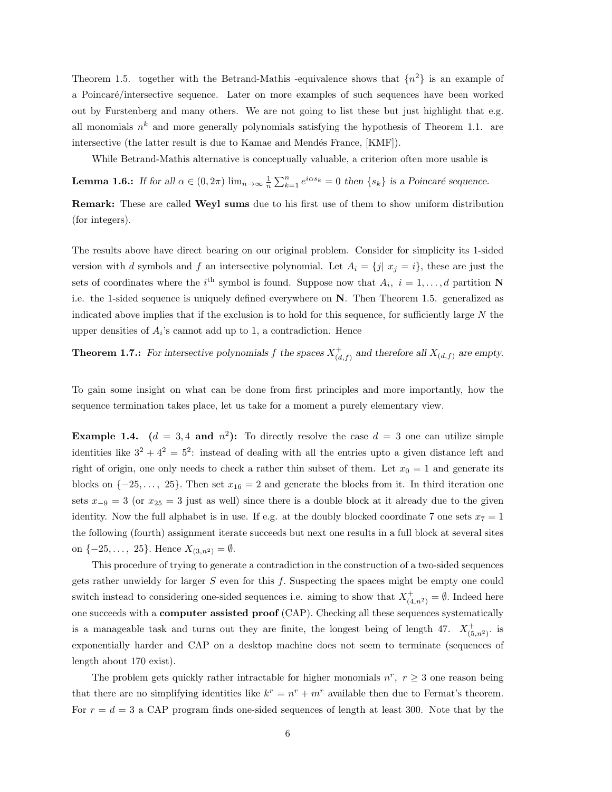Theorem 1.5. together with the Betrand-Mathis -equivalence shows that  $\{n^2\}$  is an example of a Poincaré/intersective sequence. Later on more examples of such sequences have been worked out by Furstenberg and many others. We are not going to list these but just highlight that e.g. all monomials  $n^k$  and more generally polynomials satisfying the hypothesis of Theorem 1.1. are intersective (the latter result is due to Kamae and Mendés France, [KMF]).

While Betrand-Mathis alternative is conceptually valuable, a criterion often more usable is

**Lemma 1.6.:** If for all  $\alpha \in (0, 2\pi)$   $\lim_{n \to \infty} \frac{1}{n} \sum_{k=1}^{n} e^{i\alpha s_k} = 0$  then  $\{s_k\}$  is a Poincaré sequence.

Remark: These are called Weyl sums due to his first use of them to show uniform distribution (for integers).

The results above have direct bearing on our original problem. Consider for simplicity its 1-sided version with d symbols and f an intersective polynomial. Let  $A_i = \{j | x_j = i\}$ , these are just the sets of coordinates where the i<sup>th</sup> symbol is found. Suppose now that  $A_i$ ,  $i = 1, ..., d$  partition N i.e. the 1-sided sequence is uniquely defined everywhere on N. Then Theorem 1.5. generalized as indicated above implies that if the exclusion is to hold for this sequence, for sufficiently large  $N$  the upper densities of  $A_i$ 's cannot add up to 1, a contradiction. Hence

# **Theorem 1.7.:** For intersective polynomials f the spaces  $X^+_{(d,f)}$  and therefore all  $X_{(d,f)}$  are empty.

To gain some insight on what can be done from first principles and more importantly, how the sequence termination takes place, let us take for a moment a purely elementary view.

**Example 1.4.**  $(d = 3, 4 \text{ and } n^2)$ : To directly resolve the case  $d = 3$  one can utilize simple identities like  $3^2 + 4^2 = 5^2$ : instead of dealing with all the entries upto a given distance left and right of origin, one only needs to check a rather thin subset of them. Let  $x_0 = 1$  and generate its blocks on  $\{-25, \ldots, 25\}$ . Then set  $x_{16} = 2$  and generate the blocks from it. In third iteration one sets  $x_{-9} = 3$  (or  $x_{25} = 3$  just as well) since there is a double block at it already due to the given identity. Now the full alphabet is in use. If e.g. at the doubly blocked coordinate 7 one sets  $x_7 = 1$ the following (fourth) assignment iterate succeeds but next one results in a full block at several sites on  $\{-25, \ldots, 25\}$ . Hence  $X_{(3,n^2)} = \emptyset$ .

This procedure of trying to generate a contradiction in the construction of a two-sided sequences gets rather unwieldy for larger S even for this f. Suspecting the spaces might be empty one could switch instead to considering one-sided sequences i.e. aiming to show that  $X^+_{(4,n^2)} = \emptyset$ . Indeed here one succeeds with a computer assisted proof (CAP). Checking all these sequences systematically is a manageable task and turns out they are finite, the longest being of length 47.  $X^+_{(5,n^2)}$  is exponentially harder and CAP on a desktop machine does not seem to terminate (sequences of length about 170 exist).

The problem gets quickly rather intractable for higher monomials  $n^r$ ,  $r \geq 3$  one reason being that there are no simplifying identities like  $k^r = n^r + m^r$  available then due to Fermat's theorem. For  $r = d = 3$  a CAP program finds one-sided sequences of length at least 300. Note that by the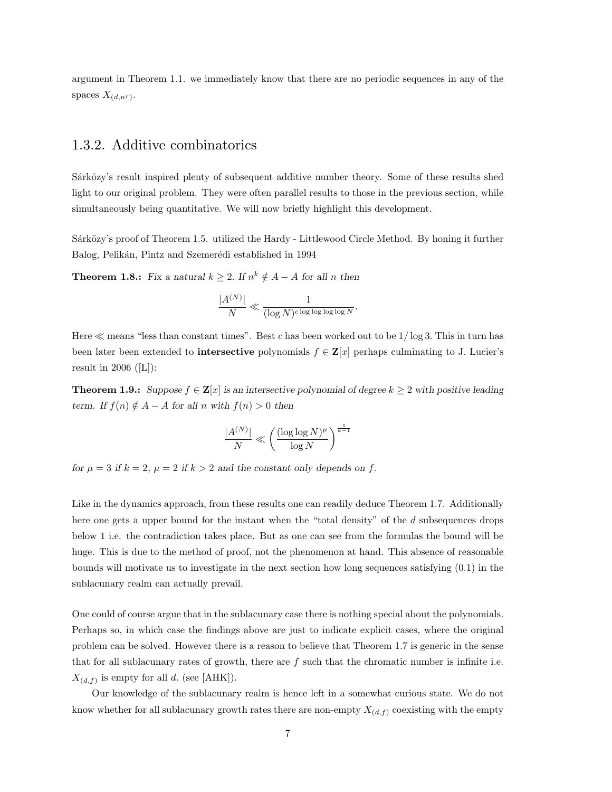argument in Theorem 1.1. we immediately know that there are no periodic sequences in any of the spaces  $X_{(d,n^r)}$ .

# 1.3.2. Additive combinatorics

Sárközy's result inspired plenty of subsequent additive number theory. Some of these results shed light to our original problem. They were often parallel results to those in the previous section, while simultaneously being quantitative. We will now briefly highlight this development.

Sárközy's proof of Theorem 1.5. utilized the Hardy - Littlewood Circle Method. By honing it further Balog, Pelikán, Pintz and Szemerédi established in 1994

**Theorem 1.8.:** Fix a natural  $k \geq 2$ . If  $n^k \notin A - A$  for all n then

$$
\frac{|A^{(N)}|}{N} \ll \frac{1}{(\log N)^{c \log \log \log \log N}}.
$$

Here  $\ll$  means "less than constant times". Best c has been worked out to be  $1/\log 3$ . This in turn has been later been extended to **intersective** polynomials  $f \in \mathbf{Z}[x]$  perhaps culminating to J. Lucier's result in 2006 ( $[L]$ ):

**Theorem 1.9.:** Suppose  $f \in \mathbf{Z}[x]$  is an intersective polynomial of degree  $k \geq 2$  with positive leading term. If  $f(n) \notin A - A$  for all n with  $f(n) > 0$  then

$$
\frac{|A^{(N)}|}{N} \ll \left(\frac{(\log\log N)^{\mu}}{\log N}\right)^{\frac{1}{k-1}}
$$

for  $\mu = 3$  if  $k = 2$ ,  $\mu = 2$  if  $k > 2$  and the constant only depends on f.

Like in the dynamics approach, from these results one can readily deduce Theorem 1.7. Additionally here one gets a upper bound for the instant when the "total density" of the d subsequences drops below 1 i.e. the contradiction takes place. But as one can see from the formulas the bound will be huge. This is due to the method of proof, not the phenomenon at hand. This absence of reasonable bounds will motivate us to investigate in the next section how long sequences satisfying (0.1) in the sublacunary realm can actually prevail.

One could of course argue that in the sublacunary case there is nothing special about the polynomials. Perhaps so, in which case the findings above are just to indicate explicit cases, where the original problem can be solved. However there is a reason to believe that Theorem 1.7 is generic in the sense that for all sublacunary rates of growth, there are f such that the chromatic number is infinite i.e.  $X_{(d,f)}$  is empty for all d. (see [AHK]).

Our knowledge of the sublacunary realm is hence left in a somewhat curious state. We do not know whether for all sublacunary growth rates there are non-empty  $X_{(d,f)}$  coexisting with the empty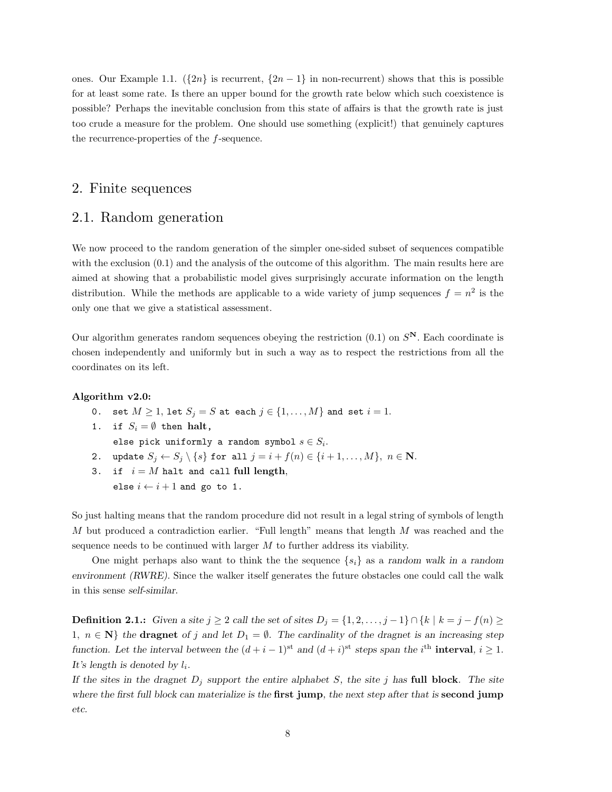ones. Our Example 1.1.  $({2n}$  is recurrent,  ${2n-1}$  in non-recurrent) shows that this is possible for at least some rate. Is there an upper bound for the growth rate below which such coexistence is possible? Perhaps the inevitable conclusion from this state of affairs is that the growth rate is just too crude a measure for the problem. One should use something (explicit!) that genuinely captures the recurrence-properties of the f-sequence.

#### 2. Finite sequences

#### 2.1. Random generation

We now proceed to the random generation of the simpler one-sided subset of sequences compatible with the exclusion  $(0.1)$  and the analysis of the outcome of this algorithm. The main results here are aimed at showing that a probabilistic model gives surprisingly accurate information on the length distribution. While the methods are applicable to a wide variety of jump sequences  $f = n^2$  is the only one that we give a statistical assessment.

Our algorithm generates random sequences obeying the restriction  $(0.1)$  on  $S<sup>N</sup>$ . Each coordinate is chosen independently and uniformly but in such a way as to respect the restrictions from all the coordinates on its left.

#### Algorithm v2.0:

- 0. set  $M \geq 1$ , let  $S_j = S$  at each  $j \in \{1, ..., M\}$  and set  $i = 1$ .
- 1. if  $S_i = \emptyset$  then halt, else pick uniformly a random symbol  $s \in S_i$ .
- 2. update  $S_j \leftarrow S_j \setminus \{s\}$  for all  $j = i + f(n) \in \{i + 1, ..., M\}, n \in \mathbb{N}$ .
- 3. if  $i = M$  halt and call full length, else  $i \leftarrow i + 1$  and go to 1.

So just halting means that the random procedure did not result in a legal string of symbols of length M but produced a contradiction earlier. "Full length" means that length  $M$  was reached and the sequence needs to be continued with larger  $M$  to further address its viability.

One might perhaps also want to think the the sequence  $\{s_i\}$  as a random walk in a random environment (RWRE). Since the walker itself generates the future obstacles one could call the walk in this sense self-similar.

**Definition 2.1.:** Given a site  $j \geq 2$  call the set of sites  $D_j = \{1, 2, ..., j-1\} \cap \{k \mid k = j - f(n) \geq 0\}$ 1,  $n \in \mathbb{N}$  the dragnet of j and let  $D_1 = \emptyset$ . The cardinality of the dragnet is an increasing step function. Let the interval between the  $(d+i-1)$ <sup>st</sup> and  $(d+i)$ <sup>st</sup> steps span the i<sup>th</sup> interval,  $i \ge 1$ . It's length is denoted by  $l_i$ .

If the sites in the dragnet  $D_j$  support the entire alphabet S, the site j has full block. The site where the first full block can materialize is the **first jump**, the next step after that is **second jump** etc.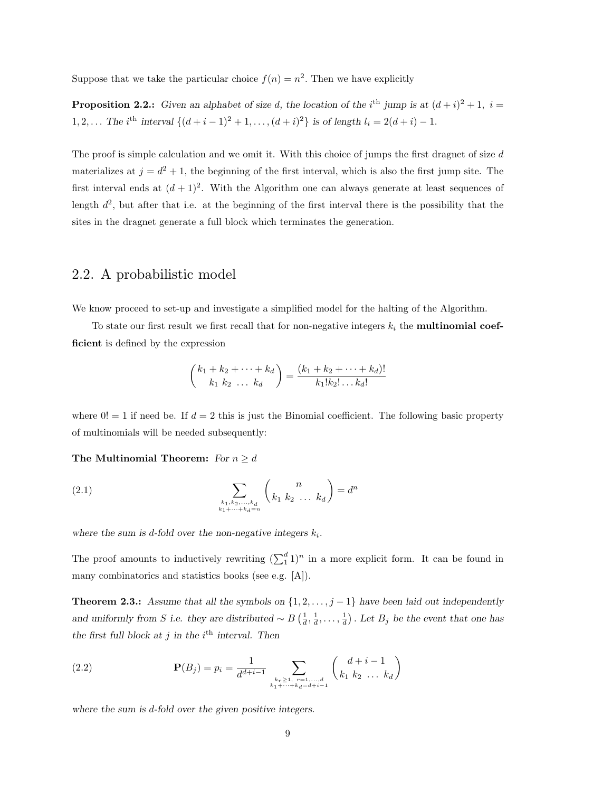Suppose that we take the particular choice  $f(n) = n^2$ . Then we have explicitly

**Proposition 2.2.:** Given an alphabet of size d, the location of the i<sup>th</sup> jump is at  $(d+i)^2 + 1$ ,  $i =$ 1, 2,... The i<sup>th</sup> interval  $\{(d+i-1)^2+1,\ldots,(d+i)^2\}$  is of length  $l_i = 2(d+i) - 1$ .

The proof is simple calculation and we omit it. With this choice of jumps the first dragnet of size  $d$ materializes at  $j = d^2 + 1$ , the beginning of the first interval, which is also the first jump site. The first interval ends at  $(d+1)^2$ . With the Algorithm one can always generate at least sequences of length  $d^2$ , but after that i.e. at the beginning of the first interval there is the possibility that the sites in the dragnet generate a full block which terminates the generation.

# 2.2. A probabilistic model

We know proceed to set-up and investigate a simplified model for the halting of the Algorithm.

To state our first result we first recall that for non-negative integers  $k_i$  the **multinomial coef**ficient is defined by the expression

$$
\binom{k_1 + k_2 + \dots + k_d}{k_1 \ k_2 \ \dots \ k_d} = \frac{(k_1 + k_2 + \dots + k_d)!}{k_1! k_2! \dots k_d!}
$$

where  $0! = 1$  if need be. If  $d = 2$  this is just the Binomial coefficient. The following basic property of multinomials will be needed subsequently:

#### The Multinomial Theorem: For  $n \geq d$

(2.1) 
$$
\sum_{\substack{k_1, k_2, ..., k_d \\ k_1 + ... + k_d = n}} {n \choose k_1 \ k_2 \ \dots \ k_d} = d^n
$$

where the sum is d-fold over the non-negative integers  $k_i$ .

The proof amounts to inductively rewriting  $(\sum_1^d 1)^n$  in a more explicit form. It can be found in many combinatorics and statistics books (see e.g. [A]).

**Theorem 2.3.:** Assume that all the symbols on  $\{1, 2, \ldots, j-1\}$  have been laid out independently and uniformly from S i.e. they are distributed  $\sim B\left(\frac{1}{d},\frac{1}{d},\ldots,\frac{1}{d}\right)$ . Let  $B_j$  be the event that one has the first full block at j in the  $i<sup>th</sup>$  interval. Then

(2.2) 
$$
\mathbf{P}(B_j) = p_i = \frac{1}{d^{d+i-1}} \sum_{\substack{k_r \ge 1, \ r=1, \ldots, d \\ k_1 + \cdots + k_d = d+i-1}} \binom{d+i-1}{k_1 \ k_2 \ \ldots \ k_d}
$$

where the sum is d-fold over the given positive integers.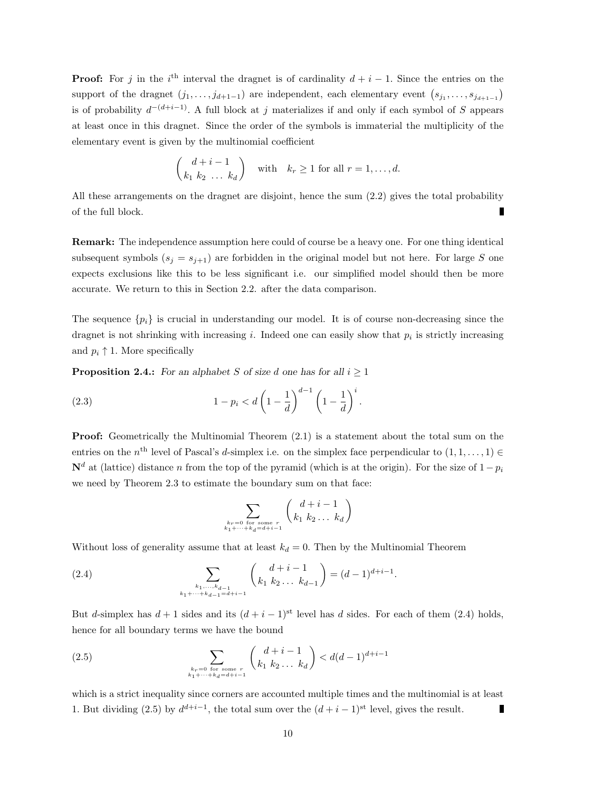**Proof:** For j in the i<sup>th</sup> interval the dragnet is of cardinality  $d + i - 1$ . Since the entries on the support of the dragnet  $(j_1, \ldots, j_{d+1-1})$  are independent, each elementary event  $(s_{j_1}, \ldots, s_{j_{d+1-1}})$ is of probability  $d^{-(d+i-1)}$ . A full block at j materializes if and only if each symbol of S appears at least once in this dragnet. Since the order of the symbols is immaterial the multiplicity of the elementary event is given by the multinomial coefficient

$$
\binom{d+i-1}{k_1 \ k_2 \ \ldots \ k_d} \quad \text{with} \quad k_r \ge 1 \text{ for all } r = 1, \ldots, d.
$$

All these arrangements on the dragnet are disjoint, hence the sum (2.2) gives the total probability Г of the full block.

Remark: The independence assumption here could of course be a heavy one. For one thing identical subsequent symbols  $(s_j = s_{j+1})$  are forbidden in the original model but not here. For large S one expects exclusions like this to be less significant i.e. our simplified model should then be more accurate. We return to this in Section 2.2. after the data comparison.

The sequence  $\{p_i\}$  is crucial in understanding our model. It is of course non-decreasing since the dragnet is not shrinking with increasing i. Indeed one can easily show that  $p_i$  is strictly increasing and  $p_i \uparrow 1$ . More specifically

**Proposition 2.4.:** For an alphabet S of size d one has for all  $i \geq 1$ 

(2.3) 
$$
1 - p_i < d \left( 1 - \frac{1}{d} \right)^{d-1} \left( 1 - \frac{1}{d} \right)^i.
$$

**Proof:** Geometrically the Multinomial Theorem  $(2.1)$  is a statement about the total sum on the entries on the  $n^{\text{th}}$  level of Pascal's d-simplex i.e. on the simplex face perpendicular to  $(1, 1, \ldots, 1) \in$  $\mathbf{N}^d$  at (lattice) distance n from the top of the pyramid (which is at the origin). For the size of  $1-p_i$ we need by Theorem 2.3 to estimate the boundary sum on that face:

$$
\sum_{\substack{k_r=0 \text{ for some } r\\k_1+\cdots+k_d=d+i-1}} \binom{d+i-1}{k_1 \, k_2 \, \dots \, k_d}
$$

Without loss of generality assume that at least  $k_d = 0$ . Then by the Multinomial Theorem

(2.4) 
$$
\sum_{\substack{k_1,\ldots,k_{d-1}\\k_1+\cdots+k_{d-1}=d+i-1}} \binom{d+i-1}{k_1 \ k_2 \ldots \ k_{d-1}} = (d-1)^{d+i-1}.
$$

But d-simplex has  $d+1$  sides and its  $(d+i-1)$ <sup>st</sup> level has d sides. For each of them (2.4) holds, hence for all boundary terms we have the bound

(2.5) 
$$
\sum_{\substack{k_r=0 \text{ for some } r\\k_1+\cdots+k_d=d+i-1}} \binom{d+i-1}{k_1 \, k_2 \, \ldots \, k_d} < d(d-1)^{d+i-1}
$$

which is a strict inequality since corners are accounted multiple times and the multinomial is at least 1. But dividing (2.5) by  $d^{d+i-1}$ , the total sum over the  $(d+i-1)$ <sup>st</sup> level, gives the result. Г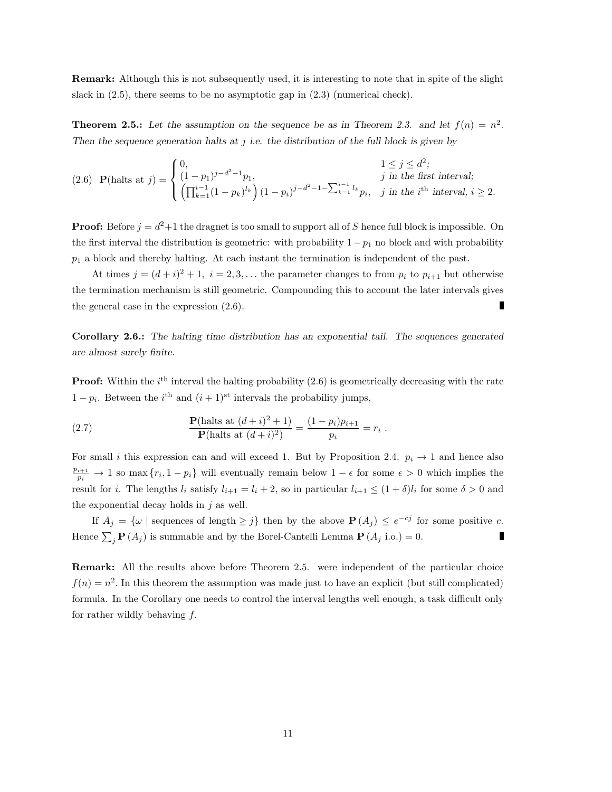Remark: Although this is not subsequently used, it is interesting to note that in spite of the slight slack in  $(2.5)$ , there seems to be no asymptotic gap in  $(2.3)$  (numerical check).

**Theorem 2.5.:** Let the assumption on the sequence be as in Theorem 2.3. and let  $f(n) = n^2$ . Then the sequence generation halts at  $j$  i.e. the distribution of the full block is given by

(2.6) 
$$
\mathbf{P}(\text{halts at } j) = \begin{cases} 0, & 1 \le j \le d^2; \\ (1 - p_1)^{j - d^2 - 1} p_1, & j \text{ in the first interval;} \\ \left(\prod_{k=1}^{i-1} (1 - p_k)^{l_k}\right) (1 - p_i)^{j - d^2 - 1 - \sum_{k=1}^{i-1} l_k} p_i, & j \text{ in the } i^{\text{th}} \text{ interval}, i \ge 2. \end{cases}
$$

**Proof:** Before  $j = d^2 + 1$  the dragnet is too small to support all of S hence full block is impossible. On the first interval the distribution is geometric: with probability  $1-p_1$  no block and with probability  $p_1$  a block and thereby halting. At each instant the termination is independent of the past.

At times  $j = (d + i)^2 + 1$ ,  $i = 2, 3, \ldots$  the parameter changes to from  $p_i$  to  $p_{i+1}$  but otherwise the termination mechanism is still geometric. Compounding this to account the later intervals gives the general case in the expression (2.6).

Corollary 2.6.: The halting time distribution has an exponential tail. The sequences generated are almost surely finite.

**Proof:** Within the  $i^{\text{th}}$  interval the halting probability  $(2.6)$  is geometrically decreasing with the rate  $1 - p_i$ . Between the  $i^{\text{th}}$  and  $(i + 1)^{\text{st}}$  intervals the probability jumps,

(2.7) 
$$
\frac{\mathbf{P}(\text{halts at } (d+i)^2 + 1)}{\mathbf{P}(\text{halts at } (d+i)^2)} = \frac{(1-p_i)p_{i+1}}{p_i} = r_i.
$$

For small i this expression can and will exceed 1. But by Proposition 2.4.  $p_i \rightarrow 1$  and hence also  $\frac{p_{i+1}}{p_i} \to 1$  so max  $\{r_i, 1 - p_i\}$  will eventually remain below  $1 - \epsilon$  for some  $\epsilon > 0$  which implies the result for i. The lengths  $l_i$  satisfy  $l_{i+1} = l_i + 2$ , so in particular  $l_{i+1} \leq (1 + \delta)l_i$  for some  $\delta > 0$  and the exponential decay holds in  $i$  as well.

If  $A_j = \{ \omega \mid \text{sequences of length} \geq j \}$  then by the above  $P(A_j) \leq e^{-cj}$  for some positive c. Hence  $\sum_j \mathbf{P}(A_j)$  is summable and by the Borel-Cantelli Lemma  $\mathbf{P}(A_j \text{ i.o.}) = 0$ .

Remark: All the results above before Theorem 2.5. were independent of the particular choice  $f(n) = n^2$ . In this theorem the assumption was made just to have an explicit (but still complicated) formula. In the Corollary one needs to control the interval lengths well enough, a task difficult only for rather wildly behaving f.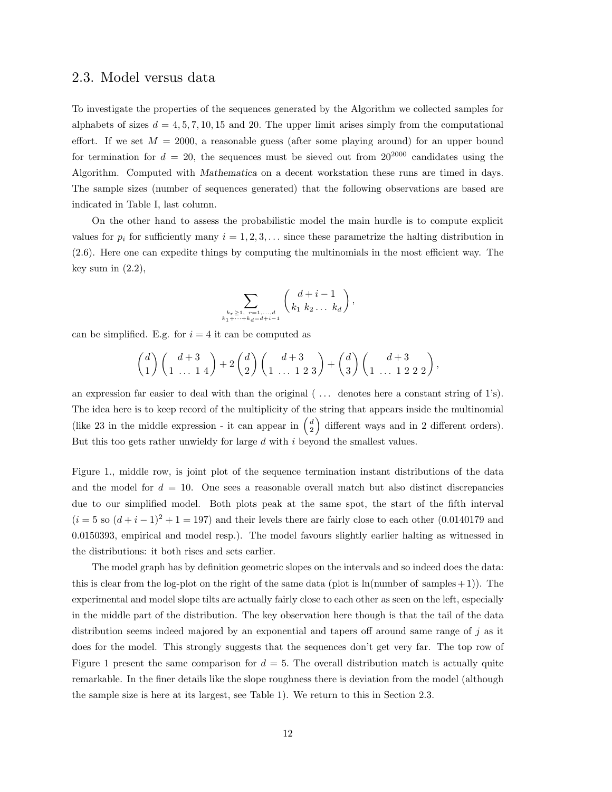#### 2.3. Model versus data

To investigate the properties of the sequences generated by the Algorithm we collected samples for alphabets of sizes  $d = 4, 5, 7, 10, 15$  and 20. The upper limit arises simply from the computational effort. If we set  $M = 2000$ , a reasonable guess (after some playing around) for an upper bound for termination for  $d = 20$ , the sequences must be sieved out from  $20^{2000}$  candidates using the Algorithm. Computed with Mathematica on a decent workstation these runs are timed in days. The sample sizes (number of sequences generated) that the following observations are based are indicated in Table I, last column.

On the other hand to assess the probabilistic model the main hurdle is to compute explicit values for  $p_i$  for sufficiently many  $i = 1, 2, 3, \ldots$  since these parametrize the halting distribution in (2.6). Here one can expedite things by computing the multinomials in the most efficient way. The key sum in  $(2.2)$ ,

$$
\sum_{\substack{k_r \ge 1, r = 1, \ldots, d \\ k_1 + \cdots + k_d = d + i - 1}} \left( \frac{d + i - 1}{k_1 \ k_2 \ldots \ k_d} \right),
$$

can be simplified. E.g. for  $i = 4$  it can be computed as

$$
\binom{d}{1}\binom{d+3}{1 \ \ldots \ 1 \ 4} + 2\binom{d}{2}\binom{d+3}{1 \ \ldots \ 1 \ 2 \ 3} + \binom{d}{3}\binom{d+3}{1 \ \ldots \ 1 \ 2 \ 2 \ 2},
$$

an expression far easier to deal with than the original  $(\ldots)$  denotes here a constant string of 1's). The idea here is to keep record of the multiplicity of the string that appears inside the multinomial (like 23 in the middle expression - it can appear in  $\binom{d}{2}$  different ways and in 2 different orders). But this too gets rather unwieldy for large  $d$  with  $i$  beyond the smallest values.

Figure 1., middle row, is joint plot of the sequence termination instant distributions of the data and the model for  $d = 10$ . One sees a reasonable overall match but also distinct discrepancies due to our simplified model. Both plots peak at the same spot, the start of the fifth interval  $(i = 5 \text{ so } (d + i - 1)^2 + 1 = 197)$  and their levels there are fairly close to each other (0.0140179 and 0.0150393, empirical and model resp.). The model favours slightly earlier halting as witnessed in the distributions: it both rises and sets earlier.

The model graph has by definition geometric slopes on the intervals and so indeed does the data: this is clear from the log-plot on the right of the same data (plot is  $\ln(\text{number of samples} + 1)$ ). The experimental and model slope tilts are actually fairly close to each other as seen on the left, especially in the middle part of the distribution. The key observation here though is that the tail of the data distribution seems indeed majored by an exponential and tapers off around same range of j as it does for the model. This strongly suggests that the sequences don't get very far. The top row of Figure 1 present the same comparison for  $d = 5$ . The overall distribution match is actually quite remarkable. In the finer details like the slope roughness there is deviation from the model (although the sample size is here at its largest, see Table 1). We return to this in Section 2.3.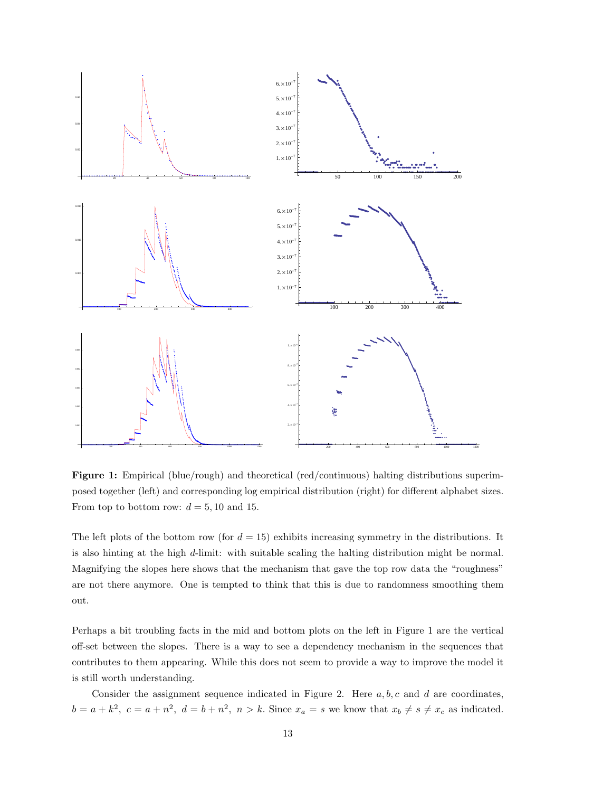

Figure 1: Empirical (blue/rough) and theoretical (red/continuous) halting distributions superimposed together (left) and corresponding log empirical distribution (right) for different alphabet sizes. From top to bottom row:  $d = 5, 10$  and 15.

The left plots of the bottom row (for  $d = 15$ ) exhibits increasing symmetry in the distributions. It is also hinting at the high d-limit: with suitable scaling the halting distribution might be normal. Magnifying the slopes here shows that the mechanism that gave the top row data the "roughness" are not there anymore. One is tempted to think that this is due to randomness smoothing them out.

Perhaps a bit troubling facts in the mid and bottom plots on the left in Figure 1 are the vertical off-set between the slopes. There is a way to see a dependency mechanism in the sequences that contributes to them appearing. While this does not seem to provide a way to improve the model it is still worth understanding.

Consider the assignment sequence indicated in Figure 2. Here  $a, b, c$  and d are coordinates,  $b = a + k^2$ ,  $c = a + n^2$ ,  $d = b + n^2$ ,  $n > k$ . Since  $x_a = s$  we know that  $x_b \neq s \neq x_c$  as indicated.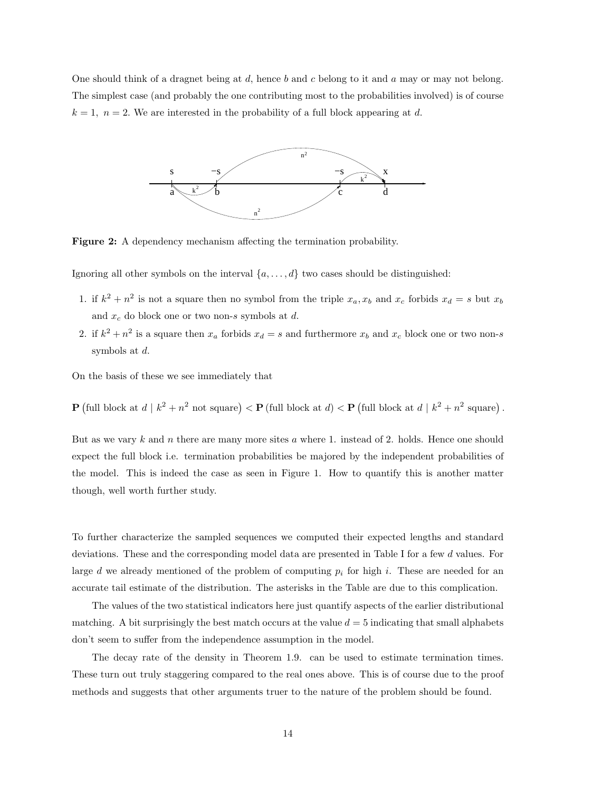One should think of a dragnet being at d, hence b and c belong to it and a may or may not belong. The simplest case (and probably the one contributing most to the probabilities involved) is of course  $k = 1$ ,  $n = 2$ . We are interested in the probability of a full block appearing at d.



Figure 2: A dependency mechanism affecting the termination probability.

Ignoring all other symbols on the interval  $\{a, \ldots, d\}$  two cases should be distinguished:

- 1. if  $k^2 + n^2$  is not a square then no symbol from the triple  $x_a, x_b$  and  $x_c$  forbids  $x_d = s$  but  $x_b$ and  $x_c$  do block one or two non-s symbols at d.
- 2. if  $k^2 + n^2$  is a square then  $x_a$  forbids  $x_d = s$  and furthermore  $x_b$  and  $x_c$  block one or two non-s symbols at d.

On the basis of these we see immediately that

**P** (full block at 
$$
d \mid k^2 + n^2
$$
 not square) < **P** (full block at  $d$ ) < **P** (full block at  $d \mid k^2 + n^2$  square).

But as we vary  $k$  and  $n$  there are many more sites  $a$  where 1. instead of 2. holds. Hence one should expect the full block i.e. termination probabilities be majored by the independent probabilities of the model. This is indeed the case as seen in Figure 1. How to quantify this is another matter though, well worth further study.

To further characterize the sampled sequences we computed their expected lengths and standard deviations. These and the corresponding model data are presented in Table I for a few d values. For large d we already mentioned of the problem of computing  $p_i$  for high i. These are needed for an accurate tail estimate of the distribution. The asterisks in the Table are due to this complication.

The values of the two statistical indicators here just quantify aspects of the earlier distributional matching. A bit surprisingly the best match occurs at the value  $d = 5$  indicating that small alphabets don't seem to suffer from the independence assumption in the model.

The decay rate of the density in Theorem 1.9. can be used to estimate termination times. These turn out truly staggering compared to the real ones above. This is of course due to the proof methods and suggests that other arguments truer to the nature of the problem should be found.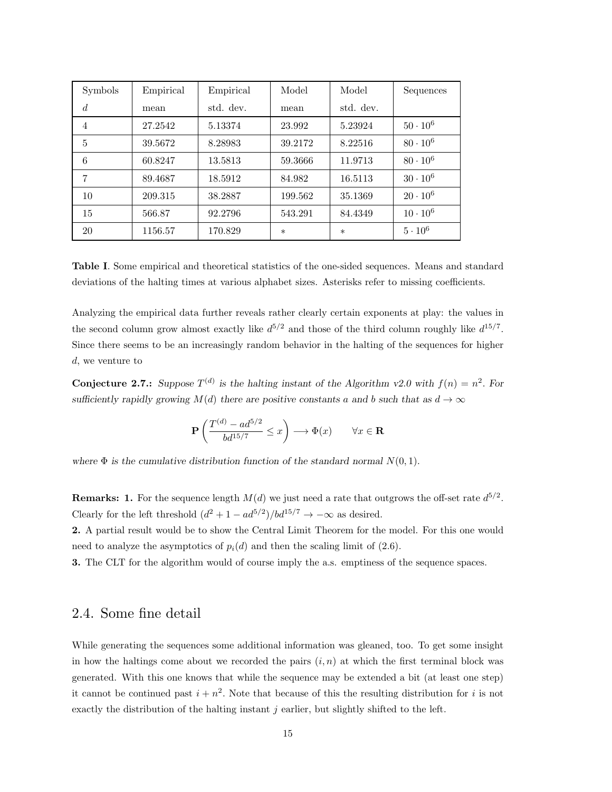| Symbols        | Empirical | Empirical | Model   | Model     | Sequences       |
|----------------|-----------|-----------|---------|-----------|-----------------|
| $\overline{d}$ | mean      | std. dev. | mean    | std. dev. |                 |
| 4              | 27.2542   | 5.13374   | 23.992  | 5.23924   | $50 \cdot 10^6$ |
| 5              | 39.5672   | 8.28983   | 39.2172 | 8.22516   | $80 \cdot 10^6$ |
| 6              | 60.8247   | 13.5813   | 59.3666 | 11.9713   | $80 \cdot 10^6$ |
| 7              | 89.4687   | 18.5912   | 84.982  | 16.5113   | $30 \cdot 10^6$ |
| 10             | 209.315   | 38.2887   | 199.562 | 35.1369   | $20 \cdot 10^6$ |
| 15             | 566.87    | 92.2796   | 543.291 | 84.4349   | $10 \cdot 10^6$ |
| 20             | 1156.57   | 170.829   | $\ast$  | $\ast$    | $5 \cdot 10^6$  |

Table I. Some empirical and theoretical statistics of the one-sided sequences. Means and standard deviations of the halting times at various alphabet sizes. Asterisks refer to missing coefficients.

Analyzing the empirical data further reveals rather clearly certain exponents at play: the values in the second column grow almost exactly like  $d^{5/2}$  and those of the third column roughly like  $d^{15/7}$ . Since there seems to be an increasingly random behavior in the halting of the sequences for higher d, we venture to

**Conjecture 2.7.:** Suppose  $T^{(d)}$  is the halting instant of the Algorithm v2.0 with  $f(n) = n^2$ . For sufficiently rapidly growing  $M(d)$  there are positive constants a and b such that as  $d \to \infty$ 

$$
{\bf P}\left(\frac{T^{(d)}-ad^{5/2}}{bd^{15/7}}\leq x\right)\longrightarrow \Phi(x)\qquad \forall x\in {\bf R}
$$

where  $\Phi$  is the cumulative distribution function of the standard normal  $N(0, 1)$ .

**Remarks: 1.** For the sequence length  $M(d)$  we just need a rate that outgrows the off-set rate  $d^{5/2}$ . Clearly for the left threshold  $(d^2 + 1 - ad^{5/2})/bd^{15/7} \rightarrow -\infty$  as desired.

2. A partial result would be to show the Central Limit Theorem for the model. For this one would need to analyze the asymptotics of  $p_i(d)$  and then the scaling limit of (2.6).

3. The CLT for the algorithm would of course imply the a.s. emptiness of the sequence spaces.

# 2.4. Some fine detail

While generating the sequences some additional information was gleaned, too. To get some insight in how the haltings come about we recorded the pairs  $(i, n)$  at which the first terminal block was generated. With this one knows that while the sequence may be extended a bit (at least one step) it cannot be continued past  $i + n^2$ . Note that because of this the resulting distribution for i is not exactly the distribution of the halting instant  $j$  earlier, but slightly shifted to the left.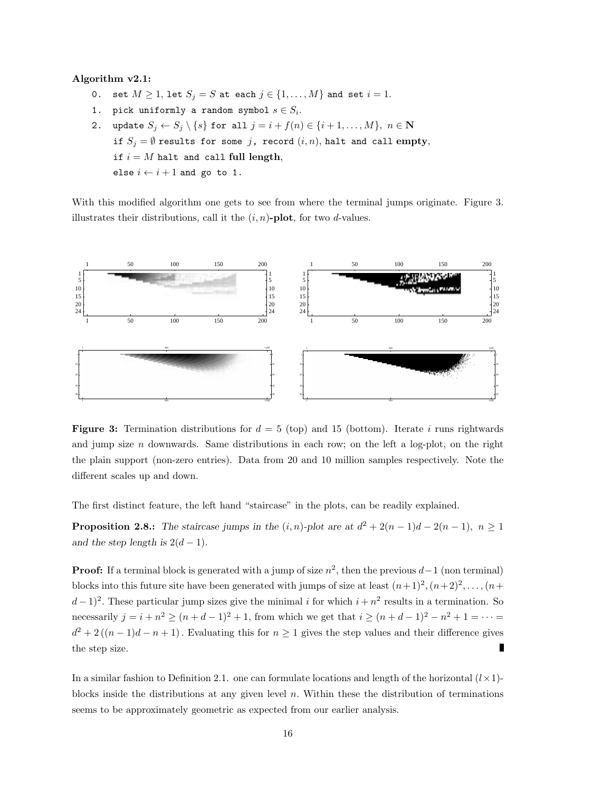#### Algorithm v2.1:

- 0. set  $M \geq 1$ , let  $S_j = S$  at each  $j \in \{1, \ldots, M\}$  and set  $i = 1$ .
- 1. pick uniformly a random symbol  $s \in S_i$ .
- 2. update  $S_j \leftarrow S_j \setminus \{s\}$  for all  $j = i + f(n) \in \{i + 1, ..., M\}, n \in \mathbb{N}$ if  $S_j = \emptyset$  results for some j, record  $(i, n)$ , halt and call empty, if  $i = M$  halt and call full length, else  $i \leftarrow i + 1$  and go to 1.

With this modified algorithm one gets to see from where the terminal jumps originate. Figure 3. illustrates their distributions, call it the  $(i, n)$ -plot, for two d-values.



**Figure 3:** Termination distributions for  $d = 5$  (top) and 15 (bottom). Iterate i runs rightwards and jump size  $n$  downwards. Same distributions in each row; on the left a log-plot, on the right the plain support (non-zero entries). Data from 20 and 10 million samples respectively. Note the different scales up and down.

The first distinct feature, the left hand "staircase" in the plots, can be readily explained.

**Proposition 2.8.:** The staircase jumps in the  $(i, n)$ -plot are at  $d^2 + 2(n - 1)d - 2(n - 1)$ ,  $n \ge 1$ and the step length is  $2(d-1)$ .

**Proof:** If a terminal block is generated with a jump of size  $n^2$ , then the previous  $d-1$  (non terminal) blocks into this future site have been generated with jumps of size at least  $(n+1)^2, (n+2)^2, \ldots, (n+1)^2$  $(d-1)^2$ . These particular jump sizes give the minimal i for which  $i + n^2$  results in a termination. So necessarily  $j = i + n^2 \ge (n + d - 1)^2 + 1$ , from which we get that  $i \ge (n + d - 1)^2 - n^2 + 1 = \cdots$  $d^2 + 2((n-1)d - n + 1)$ . Evaluating this for  $n \ge 1$  gives the step values and their difference gives г the step size.

In a similar fashion to Definition 2.1. one can formulate locations and length of the horizontal  $(l \times 1)$ blocks inside the distributions at any given level  $n$ . Within these the distribution of terminations seems to be approximately geometric as expected from our earlier analysis.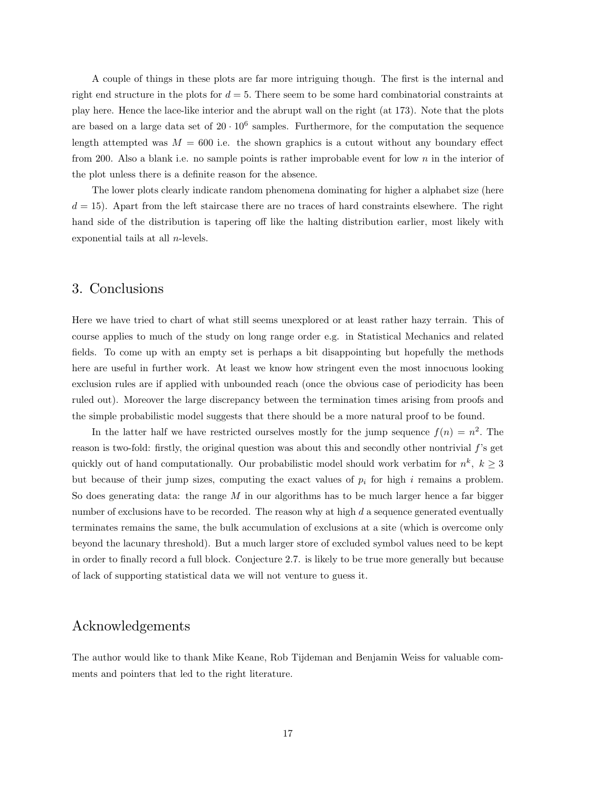A couple of things in these plots are far more intriguing though. The first is the internal and right end structure in the plots for  $d = 5$ . There seem to be some hard combinatorial constraints at play here. Hence the lace-like interior and the abrupt wall on the right (at 173). Note that the plots are based on a large data set of  $20 \cdot 10^6$  samples. Furthermore, for the computation the sequence length attempted was  $M = 600$  i.e. the shown graphics is a cutout without any boundary effect from 200. Also a blank i.e. no sample points is rather improbable event for low  $n$  in the interior of the plot unless there is a definite reason for the absence.

The lower plots clearly indicate random phenomena dominating for higher a alphabet size (here  $d = 15$ . Apart from the left staircase there are no traces of hard constraints elsewhere. The right hand side of the distribution is tapering off like the halting distribution earlier, most likely with exponential tails at all n-levels.

# 3. Conclusions

Here we have tried to chart of what still seems unexplored or at least rather hazy terrain. This of course applies to much of the study on long range order e.g. in Statistical Mechanics and related fields. To come up with an empty set is perhaps a bit disappointing but hopefully the methods here are useful in further work. At least we know how stringent even the most innocuous looking exclusion rules are if applied with unbounded reach (once the obvious case of periodicity has been ruled out). Moreover the large discrepancy between the termination times arising from proofs and the simple probabilistic model suggests that there should be a more natural proof to be found.

In the latter half we have restricted ourselves mostly for the jump sequence  $f(n) = n^2$ . The reason is two-fold: firstly, the original question was about this and secondly other nontrivial  $f$ 's get quickly out of hand computationally. Our probabilistic model should work verbatim for  $n^k$ ,  $k \geq 3$ but because of their jump sizes, computing the exact values of  $p_i$  for high i remains a problem. So does generating data: the range  $M$  in our algorithms has to be much larger hence a far bigger number of exclusions have to be recorded. The reason why at high  $d$  a sequence generated eventually terminates remains the same, the bulk accumulation of exclusions at a site (which is overcome only beyond the lacunary threshold). But a much larger store of excluded symbol values need to be kept in order to finally record a full block. Conjecture 2.7. is likely to be true more generally but because of lack of supporting statistical data we will not venture to guess it.

# Acknowledgements

The author would like to thank Mike Keane, Rob Tijdeman and Benjamin Weiss for valuable comments and pointers that led to the right literature.